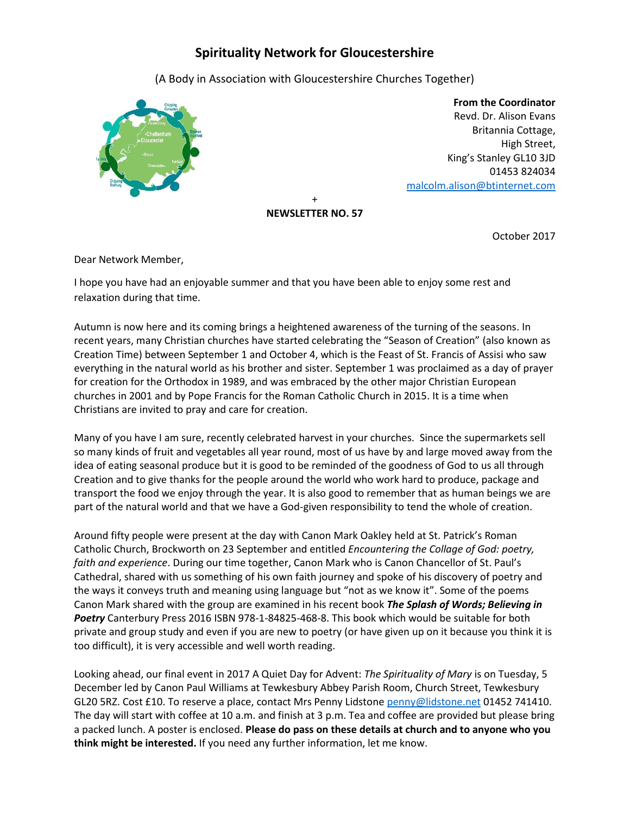## **Spirituality Network for Gloucestershire**

(A Body in Association with Gloucestershire Churches Together)



 **From the Coordinator** Revd. Dr. Alison Evans Britannia Cottage, High Street, King's Stanley GL10 3JD 01453 824034 [malcolm.alison@btinternet.com](mailto:malcolm.alison@btinternet.com)

+ **NEWSLETTER NO. 57**

October 2017

Dear Network Member,

I hope you have had an enjoyable summer and that you have been able to enjoy some rest and relaxation during that time.

Autumn is now here and its coming brings a heightened awareness of the turning of the seasons. In recent years, many Christian churches have started celebrating the "Season of Creation" (also known as Creation Time) between September 1 and October 4, which is the Feast of St. Francis of Assisi who saw everything in the natural world as his brother and sister. September 1 was proclaimed as a day of prayer for creation for the Orthodox in 1989, and was embraced by the other major Christian European churches in [2001](http://assembly.ceceurope.org/fileadmin/filer/cec/CEC_Documents/Charta_Oecumenica.pdf) and by Pope Francis for the Roman Catholic Church [in 2015.](http://w2.vatican.va/content/francesco/en/letters/2015/documents/papa-francesco_20150806_lettera-giornata-cura-creato.html) It is a time when Christians are invited to pray and care for creation.

Many of you have I am sure, recently celebrated harvest in your churches. Since the supermarkets sell so many kinds of fruit and vegetables all year round, most of us have by and large moved away from the idea of eating seasonal produce but it is good to be reminded of the goodness of God to us all through Creation and to give thanks for the people around the world who work hard to produce, package and transport the food we enjoy through the year. It is also good to remember that as human beings we are part of the natural world and that we have a God-given responsibility to tend the whole of creation.

Around fifty people were present at the day with Canon Mark Oakley held at St. Patrick's Roman Catholic Church, Brockworth on 23 September and entitled *Encountering the Collage of God: poetry, faith and experience*. During our time together, Canon Mark who is Canon Chancellor of St. Paul's Cathedral, shared with us something of his own faith journey and spoke of his discovery of poetry and the ways it conveys truth and meaning using language but "not as we know it". Some of the poems Canon Mark shared with the group are examined in his recent book *The Splash of Words; Believing in Poetry* Canterbury Press 2016 ISBN 978-1-84825-468-8. This book which would be suitable for both private and group study and even if you are new to poetry (or have given up on it because you think it is too difficult), it is very accessible and well worth reading.

Looking ahead, our final event in 2017 A Quiet Day for Advent: *The Spirituality of Mary* is on Tuesday, 5 December led by Canon Paul Williams at Tewkesbury Abbey Parish Room, Church Street, Tewkesbury GL20 5RZ. Cost £10. To reserve a place, contact Mrs Penny Lidstone [penny@lidstone.net](mailto:penny@lidstone.net) 01452 741410. The day will start with coffee at 10 a.m. and finish at 3 p.m. Tea and coffee are provided but please bring a packed lunch. A poster is enclosed. **Please do pass on these details at church and to anyone who you think might be interested.** If you need any further information, let me know.